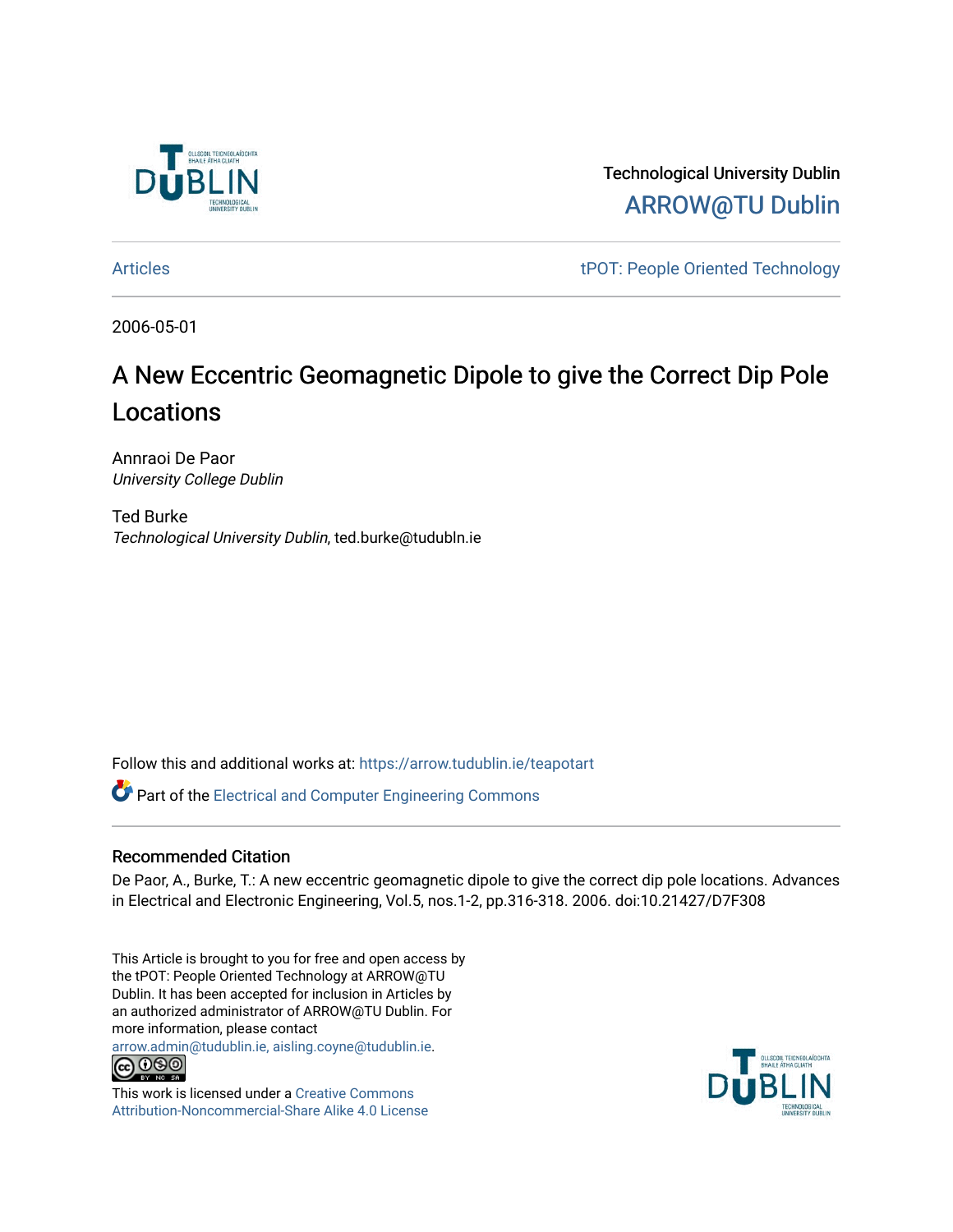

Technological University Dublin [ARROW@TU Dublin](https://arrow.tudublin.ie/) 

[Articles](https://arrow.tudublin.ie/teapotart) tPOT: People Oriented Technology

2006-05-01

# A New Eccentric Geomagnetic Dipole to give the Correct Dip Pole Locations

Annraoi De Paor University College Dublin

Ted Burke Technological University Dublin, ted.burke@tudubln.ie

Follow this and additional works at: [https://arrow.tudublin.ie/teapotart](https://arrow.tudublin.ie/teapotart?utm_source=arrow.tudublin.ie%2Fteapotart%2F3&utm_medium=PDF&utm_campaign=PDFCoverPages) 

**P** Part of the Electrical and Computer Engineering Commons

# Recommended Citation

De Paor, A., Burke, T.: A new eccentric geomagnetic dipole to give the correct dip pole locations. Advances in Electrical and Electronic Engineering, Vol.5, nos.1-2, pp.316-318. 2006. doi:10.21427/D7F308

This Article is brought to you for free and open access by the tPOT: People Oriented Technology at ARROW@TU Dublin. It has been accepted for inclusion in Articles by an authorized administrator of ARROW@TU Dublin. For more information, please contact

[arrow.admin@tudublin.ie, aisling.coyne@tudublin.ie](mailto:arrow.admin@tudublin.ie,%20aisling.coyne@tudublin.ie).<br>
co 000



This work is licensed under a [Creative Commons](http://creativecommons.org/licenses/by-nc-sa/4.0/) [Attribution-Noncommercial-Share Alike 4.0 License](http://creativecommons.org/licenses/by-nc-sa/4.0/)

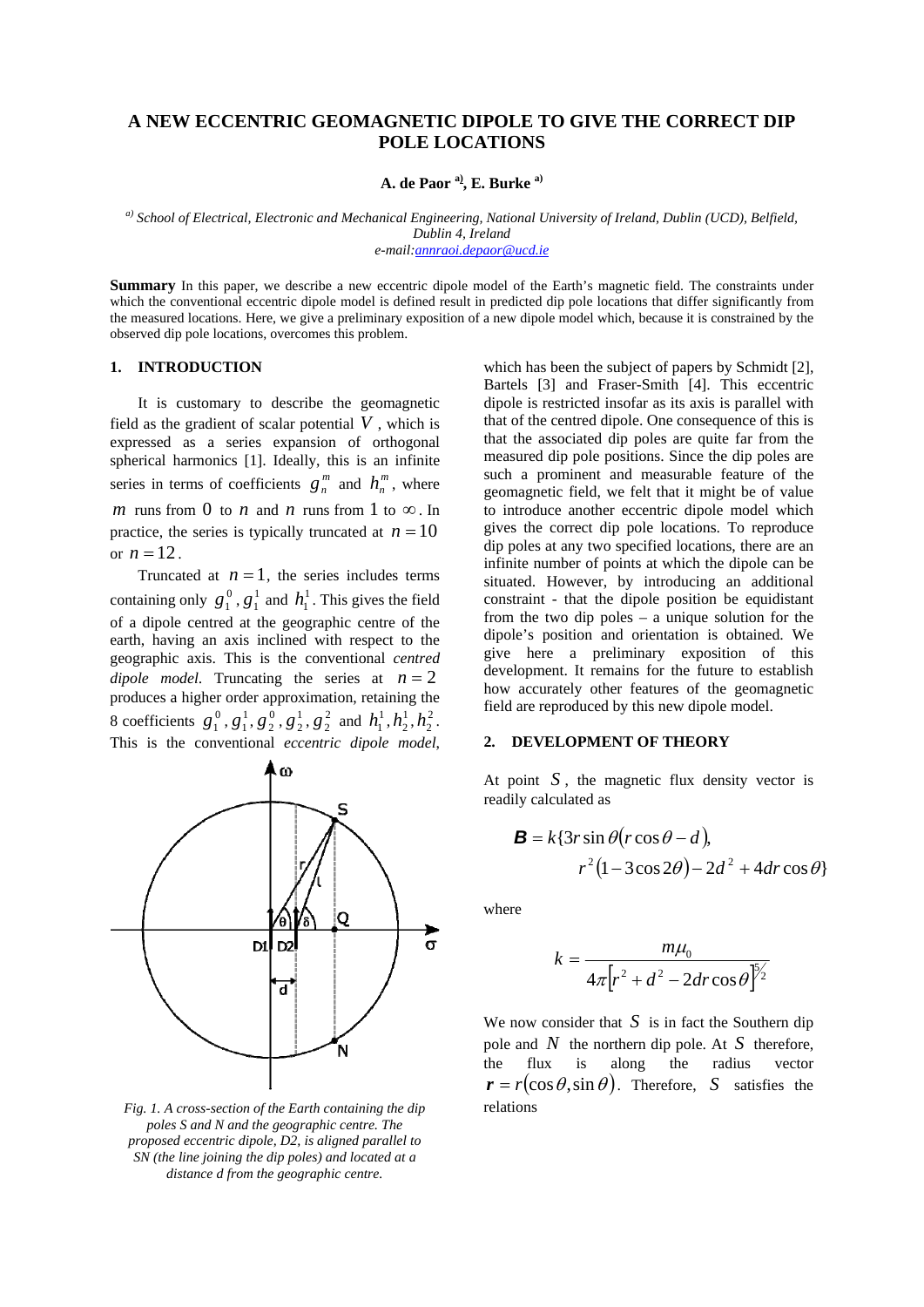# **A NEW ECCENTRIC GEOMAGNETIC DIPOLE TO GIVE THE CORRECT DIP POLE LOCATIONS**

**A. de Paor a), E. Burke a)**

*a) School of Electrical, Electronic and Mechanical Engineering, National University of Ireland, Dublin (UCD), Belfield, Dublin 4, Ireland e-mail:[annraoi.depaor@ucd.ie](mailto:annraoi.depaor@ucd.ie)*

**Summary** In this paper, we describe a new eccentric dipole model of the Earth's magnetic field. The constraints under which the conventional eccentric dipole model is defined result in predicted dip pole locations that differ significantly from the measured locations. Here, we give a preliminary exposition of a new dipole model which, because it is constrained by the observed dip pole locations, overcomes this problem.

## **1. INTRODUCTION**

It is customary to describe the geomagnetic field as the gradient of scalar potential *V* , which is expressed as a series expansion of orthogonal spherical harmonics [1]. Ideally, this is an infinite series in terms of coefficients  $g_n^m$  and  $h_n^m$ , where *m* runs from 0 to *n* and *n* runs from 1 to  $\infty$ . In practice, the series is typically truncated at  $n = 10$ or  $n = 12$ .

Truncated at  $n = 1$ , the series includes terms containing only  $g_1^0$ ,  $g_1^1$  and  $h_1^1$ . This gives the field of a dipole centred at the geographic centre of the earth, having an axis inclined with respect to the geographic axis. This is the conventional *centred*   $$ 1  $g_1^0$ ,  $g_1^1$  and  $h_1^1$ 8 coefficients  $g_1^0$ ,  $g_1^1$ ,  $g_2^0$ ,  $g_2^1$ ,  $g_2^2$  and  $h_1^1$ ,  $h_2^1$ ,  $h_2^2$ . produces a higher order approximation, retaining the This is the conventional *eccentric dipole model*,



*Fig. 1. A cross-section of the Earth containing the dip poles S and N and the geographic centre. The proposed eccentric dipole, D2, is aligned parallel to SN (the line joining the dip poles) and located at a distance d from the geographic centre.*

which has been the subject of papers by Schmidt [2], Bartels [3] and Fraser-Smith [4]. This eccentric dipole is restricted insofar as its axis is parallel with that of the centred dipole. One consequence of this is that the associated dip poles are quite far from the measured dip pole positions. Since the dip poles are such a prominent and measurable feature of the geomagnetic field, we felt that it might be of value to introduce another eccentric dipole model which gives the correct dip pole locations. To reproduce dip poles at any two specified locations, there are an infinite number of points at which the dipole can be situated. However, by introducing an additional constraint - that the dipole position be equidistant from the two dip poles – a unique solution for the dipole's position and orientation is obtained. We give here a preliminary exposition of this development. It remains for the future to establish how accurately other features of the geomagnetic field are reproduced by this new dipole model.

### **2. DEVELOPMENT OF THEORY**

At point  $S$ , the magnetic flux density vector is readily calculated as

$$
\mathbf{B} = k\{3r\sin\theta\left(r\cos\theta - d\right),\newline r^2\left(1 - 3\cos 2\theta\right) - 2d^2 + 4dr\cos\theta\}
$$

where

$$
k = \frac{m\mu_0}{4\pi\left[r^2 + d^2 - 2dr\cos\theta\right]^{5/2}}
$$

We now consider that  $S$  is in fact the Southern dip pole and  $N$  the northern dip pole. At  $S$  therefore, the flux is along the radius vector  $r = r(\cos \theta, \sin \theta)$ . Therefore, *S* satisfies the relations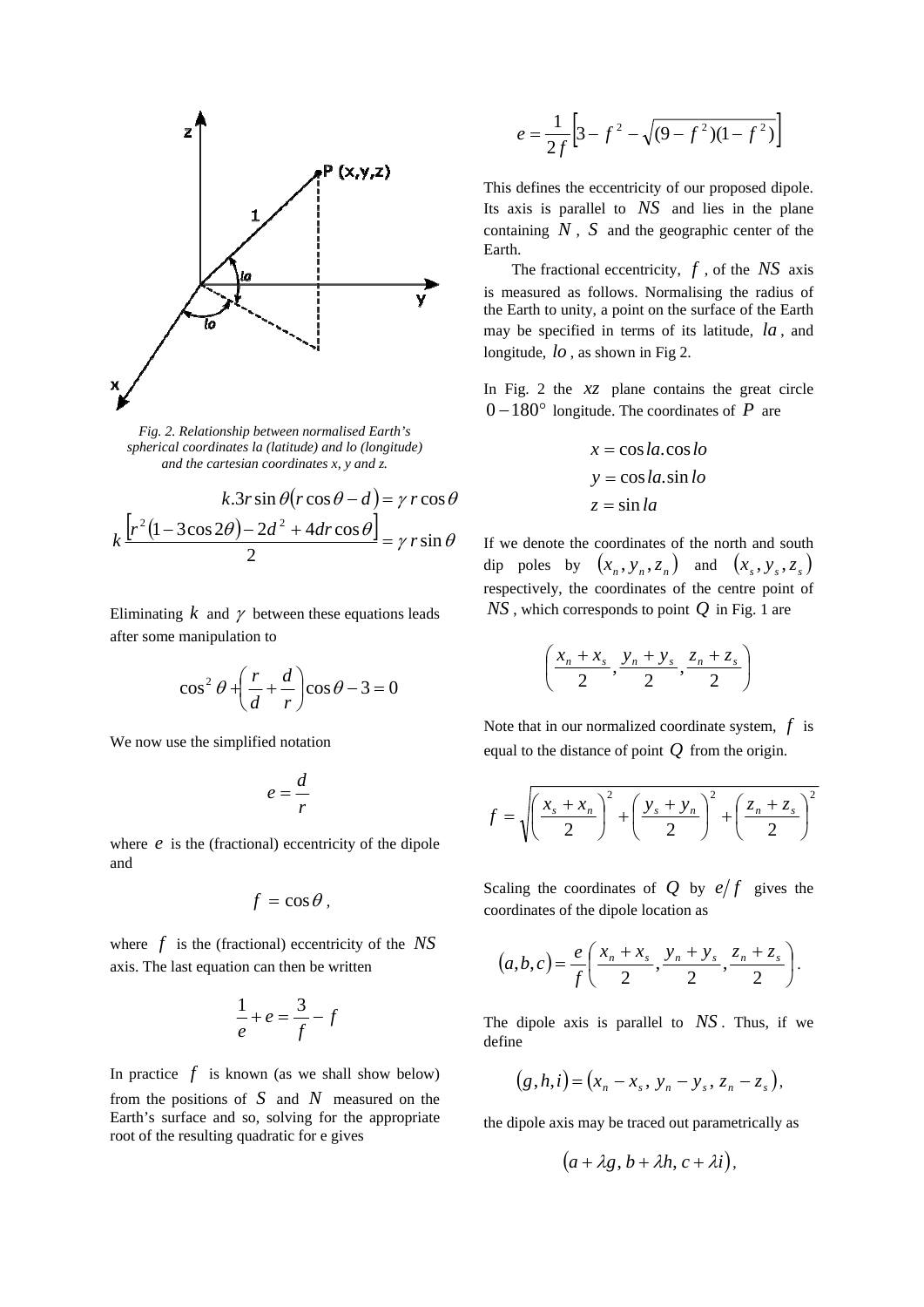

*Fig. 2. Relationship between normalised Earth's spherical coordinates la (latitude) and lo (longitude) and the cartesian coordinates x, y and z.*

$$
k.3r\sin\theta(r\cos\theta - d) = \gamma r\cos\theta
$$

$$
k\frac{[r^2(1 - 3\cos 2\theta) - 2d^2 + 4dr\cos\theta]}{2} = \gamma r\sin\theta
$$

Eliminating  $k$  and  $\gamma$  between these equations leads after some manipulation to

$$
\cos^2\theta + \left(\frac{r}{d} + \frac{d}{r}\right)\cos\theta - 3 = 0
$$

We now use the simplified notation

$$
e=\frac{d}{r}
$$

where  $e$  is the (fractional) eccentricity of the dipole and

$$
f=\cos\theta\,,
$$

where  $f$  is the (fractional) eccentricity of the  $NS$ axis. The last equation can then be written

$$
\frac{1}{e} + e = \frac{3}{f} - f
$$

In practice  $f$  is known (as we shall show below) from the positions of  $S$  and  $N$  measured on the Earth's surface and so, solving for the appropriate root of the resulting quadratic for e gives

$$
e = \frac{1}{2f} \left[ 3 - f^2 - \sqrt{(9 - f^2)(1 - f^2)} \right]
$$

This defines the eccentricity of our proposed dipole. Its axis is parallel to  $NS$  and lies in the plane containing  $N$ ,  $S$  and the geographic center of the Earth.

The fractional eccentricity,  $f$ , of the  $NS$  axis is measured as follows. Normalising the radius of the Earth to unity, a point on the surface of the Earth may be specified in terms of its latitude, *la* , and longitude,  $lo$ , as shown in Fig 2.

In Fig. 2 the *xz* plane contains the great circle  $0-180^\circ$  longitude. The coordinates of *P* are

$$
x = \cos la \cdot \cos lo
$$
  

$$
y = \cos la \cdot \sin lo
$$
  

$$
z = \sin la
$$

If we denote the coordinates of the north and south dip poles by  $(x_n, y_n, z_n)$  and  $(x_s, y_s, z_s)$ respectively, the coordinates of the centre point of  $NS$  , which corresponds to point  $Q$  in Fig. 1 are

$$
\left(\frac{x_n + x_s}{2}, \frac{y_n + y_s}{2}, \frac{z_n + z_s}{2}\right)
$$

Note that in our normalized coordinate system,  $f$  is equal to the distance of point *Q* from the origin.

$$
f = \sqrt{\left(\frac{x_s + x_n}{2}\right)^2 + \left(\frac{y_s + y_n}{2}\right)^2 + \left(\frac{z_n + z_s}{2}\right)^2}
$$

Scaling the coordinates of  $Q$  by  $e/f$  gives the coordinates of the dipole location as

$$
(a,b,c) = \frac{e}{f} \left( \frac{x_n + x_s}{2}, \frac{y_n + y_s}{2}, \frac{z_n + z_s}{2} \right).
$$

The dipole axis is parallel to *NS* . Thus, if we define

$$
(g,h,i) = (x_n - x_s, y_n - y_s, z_n - z_s),
$$

the dipole axis may be traced out parametrically as

$$
(a+\lambda g, b+\lambda h, c+\lambda i),
$$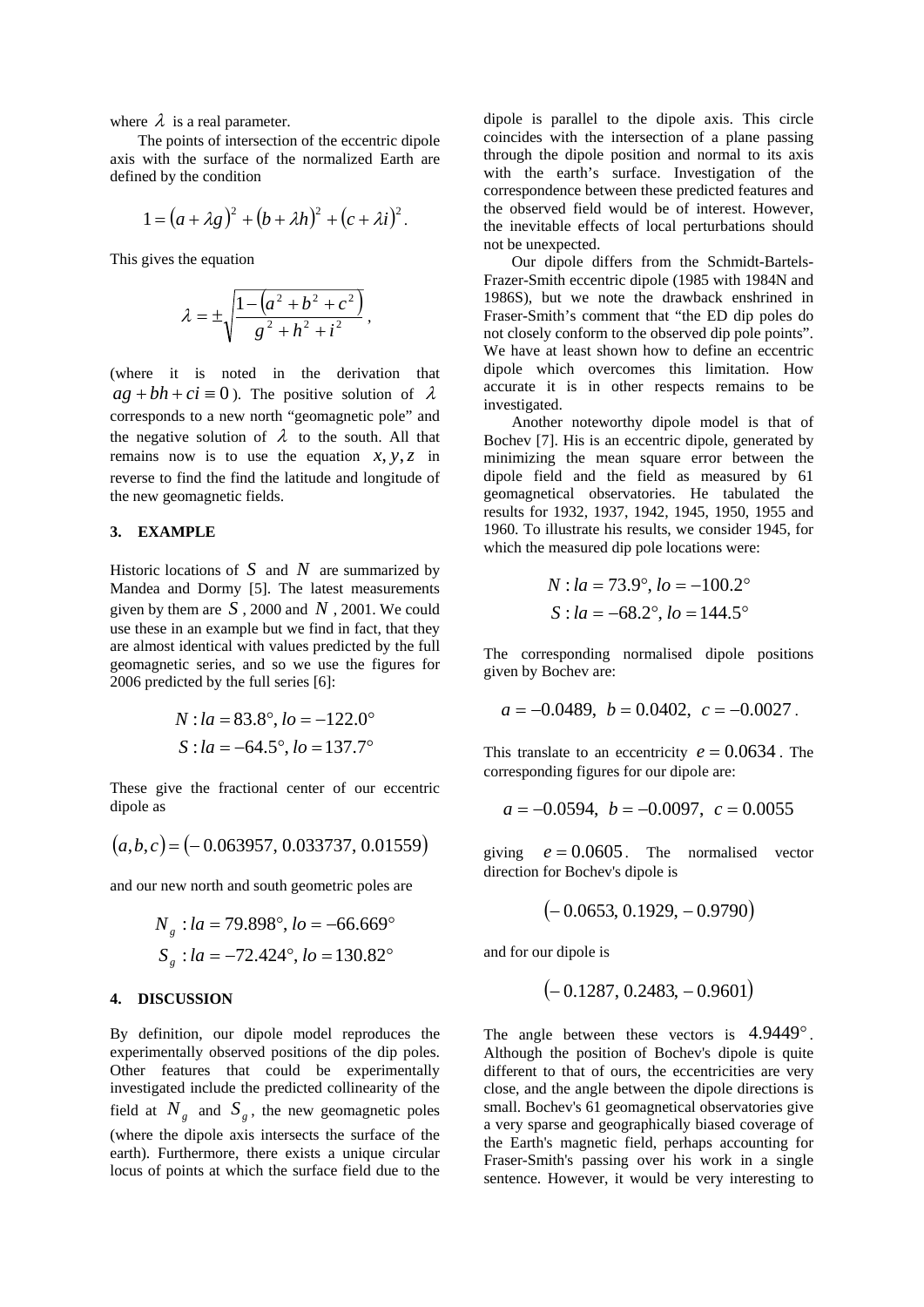where  $\lambda$  is a real parameter.

The points of intersection of the eccentric dipole axis with the surface of the normalized Earth are defined by the condition

$$
1=(a+\lambda g)^2+(b+\lambda h)^2+(c+\lambda i)^2.
$$

This gives the equation

$$
\lambda = \pm \sqrt{\frac{1 - (a^2 + b^2 + c^2)}{g^2 + h^2 + i^2}},
$$

(where it is noted in the derivation that  $ag + bh + ci \equiv 0$ ). The positive solution of  $\lambda$ corresponds to a new north "geomagnetic pole" and the negative solution of  $\lambda$  to the south. All that remains now is to use the equation  $x, y, z$  in reverse to find the find the latitude and longitude of the new geomagnetic fields.

#### **3. EXAMPLE**

Historic locations of  $S$  and  $N$  are summarized by Mandea and Dormy [5]. The latest measurements given by them are  $S$ , 2000 and  $N$ , 2001. We could use these in an example but we find in fact, that they are almost identical with values predicted by the full geomagnetic series, and so we use the figures for 2006 predicted by the full series [6]:

$$
N : la = 83.8^{\circ}, lo = -122.0^{\circ}
$$
  

$$
S : la = -64.5^{\circ}, lo = 137.7^{\circ}
$$

These give the fractional center of our eccentric dipole as

$$
(a,b,c) = (-0.063957, 0.033737, 0.01559)
$$

and our new north and south geometric poles are

$$
N_g : la = 79.898^\circ, lo = -66.669^\circ
$$
  

$$
S_g : la = -72.424^\circ, lo = 130.82^\circ
$$

#### **4. DISCUSSION**

By definition, our dipole model reproduces the experimentally observed positions of the dip poles. Other features that could be experimentally investigated include the predicted collinearity of the field at  $N_g$  and  $S_g$ , the new geomagnetic poles (where the dipole axis intersects the surface of the earth). Furthermore, there exists a unique circular locus of points at which the surface field due to the

dipole is parallel to the dipole axis. This circle coincides with the intersection of a plane passing through the dipole position and normal to its axis with the earth's surface. Investigation of the correspondence between these predicted features and the observed field would be of interest. However, the inevitable effects of local perturbations should not be unexpected.

Our dipole differs from the Schmidt-Bartels-Frazer-Smith eccentric dipole (1985 with 1984N and 1986S), but we note the drawback enshrined in Fraser-Smith's comment that "the ED dip poles do not closely conform to the observed dip pole points". We have at least shown how to define an eccentric dipole which overcomes this limitation. How accurate it is in other respects remains to be investigated.

Another noteworthy dipole model is that of Bochev [7]. His is an eccentric dipole, generated by minimizing the mean square error between the dipole field and the field as measured by 61 geomagnetical observatories. He tabulated the results for 1932, 1937, 1942, 1945, 1950, 1955 and 1960. To illustrate his results, we consider 1945, for which the measured dip pole locations were:

$$
N : la = 73.9^{\circ}, lo = -100.2^{\circ}
$$
  

$$
S : la = -68.2^{\circ}, lo = 144.5^{\circ}
$$

The corresponding normalised dipole positions given by Bochev are:

$$
a = -0.0489
$$
,  $b = 0.0402$ ,  $c = -0.0027$ .

This translate to an eccentricity  $e = 0.0634$ . The corresponding figures for our dipole are:

$$
a = -0.0594
$$
,  $b = -0.0097$ ,  $c = 0.0055$ 

giving  $e = 0.0605$ . The normalised vector direction for Bochev's dipole is

$$
\bigl(-0.0653,0.1929,-0.9790\bigr)
$$

and for our dipole is

$$
(-0.1287, 0.2483, -0.9601)
$$

The angle between these vectors is  $4.9449^\circ$ . Although the position of Bochev's dipole is quite different to that of ours, the eccentricities are very close, and the angle between the dipole directions is small. Bochev's 61 geomagnetical observatories give a very sparse and geographically biased coverage of the Earth's magnetic field, perhaps accounting for Fraser-Smith's passing over his work in a single sentence. However, it would be very interesting to